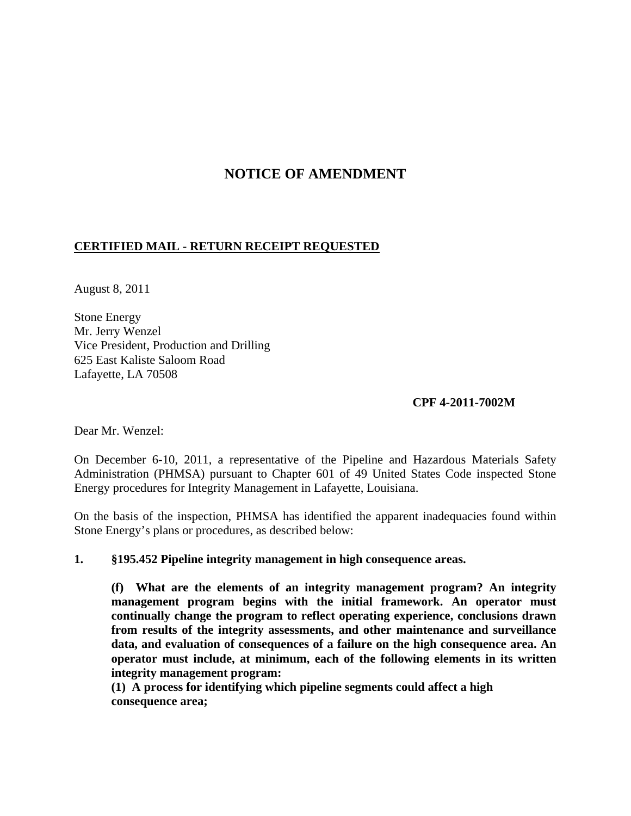# **NOTICE OF AMENDMENT**

## **CERTIFIED MAIL - RETURN RECEIPT REQUESTED**

August 8, 2011

Stone Energy Mr. Jerry Wenzel Vice President, Production and Drilling 625 East Kaliste Saloom Road Lafayette, LA 70508

### **CPF 4-2011-7002M**

Dear Mr. Wenzel:

On December 6-10, 2011, a representative of the Pipeline and Hazardous Materials Safety Administration (PHMSA) pursuant to Chapter 601 of 49 United States Code inspected Stone Energy procedures for Integrity Management in Lafayette, Louisiana.

On the basis of the inspection, PHMSA has identified the apparent inadequacies found within Stone Energy's plans or procedures, as described below:

#### **1. §195.452 Pipeline integrity management in high consequence areas.**

**(f) What are the elements of an integrity management program? An integrity management program begins with the initial framework. An operator must continually change the program to reflect operating experience, conclusions drawn from results of the integrity assessments, and other maintenance and surveillance data, and evaluation of consequences of a failure on the high consequence area. An operator must include, at minimum, each of the following elements in its written integrity management program:**

**(1) A process for identifying which pipeline segments could affect a high consequence area;**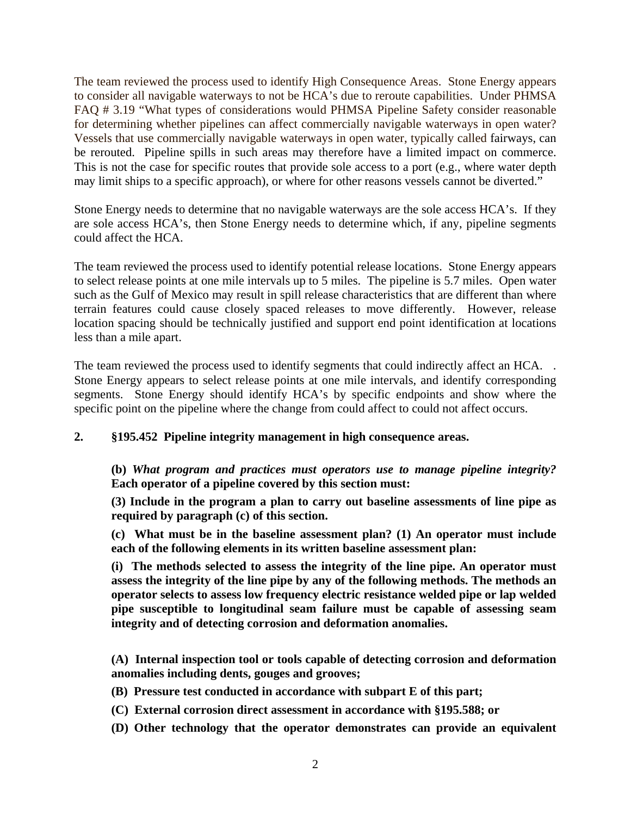The team reviewed the process used to identify High Consequence Areas. Stone Energy appears to consider all navigable waterways to not be HCA's due to reroute capabilities. Under PHMSA FAQ # 3.19 "What types of considerations would PHMSA Pipeline Safety consider reasonable for determining whether pipelines can affect commercially navigable waterways in open water? Vessels that use commercially navigable waterways in open water, typically called fairways, can be rerouted. Pipeline spills in such areas may therefore have a limited impact on commerce. This is not the case for specific routes that provide sole access to a port (e.g., where water depth may limit ships to a specific approach), or where for other reasons vessels cannot be diverted."

Stone Energy needs to determine that no navigable waterways are the sole access HCA's. If they are sole access HCA's, then Stone Energy needs to determine which, if any, pipeline segments could affect the HCA.

The team reviewed the process used to identify potential release locations. Stone Energy appears to select release points at one mile intervals up to 5 miles. The pipeline is 5.7 miles. Open water such as the Gulf of Mexico may result in spill release characteristics that are different than where terrain features could cause closely spaced releases to move differently. However, release location spacing should be technically justified and support end point identification at locations less than a mile apart.

The team reviewed the process used to identify segments that could indirectly affect an HCA... Stone Energy appears to select release points at one mile intervals, and identify corresponding segments. Stone Energy should identify HCA's by specific endpoints and show where the specific point on the pipeline where the change from could affect to could not affect occurs.

## **2. §195.452 Pipeline integrity management in high consequence areas.**

**(b)** *What program and practices must operators use to manage pipeline integrity?* **Each operator of a pipeline covered by this section must:**

**(3) Include in the program a plan to carry out baseline assessments of line pipe as required by paragraph (c) of this section.**

**(c) What must be in the baseline assessment plan? (1) An operator must include each of the following elements in its written baseline assessment plan:**

**(i) The methods selected to assess the integrity of the line pipe. An operator must assess the integrity of the line pipe by any of the following methods. The methods an operator selects to assess low frequency electric resistance welded pipe or lap welded pipe susceptible to longitudinal seam failure must be capable of assessing seam integrity and of detecting corrosion and deformation anomalies.**

**(A) Internal inspection tool or tools capable of detecting corrosion and deformation anomalies including dents, gouges and grooves;**

- **(B) Pressure test conducted in accordance with subpart E of this part;**
- **(C) External corrosion direct assessment in accordance with §195.588; or**
- **(D) Other technology that the operator demonstrates can provide an equivalent**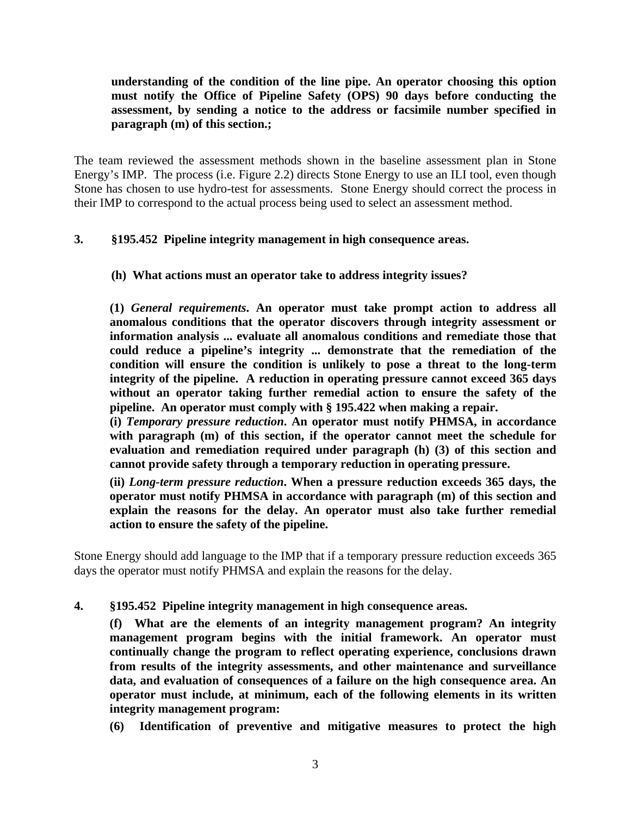**understanding of the condition of the line pipe. An operator choosing this option must notify the Office of Pipeline Safety (OPS) 90 days before conducting the assessment, by sending a notice to the address or facsimile number specified in paragraph (m) of this section.;**

The team reviewed the assessment methods shown in the baseline assessment plan in Stone Energy's IMP. The process (i.e. Figure 2.2) directs Stone Energy to use an ILI tool, even though Stone has chosen to use hydro-test for assessments. Stone Energy should correct the process in their IMP to correspond to the actual process being used to select an assessment method.

### **3. §195.452 Pipeline integrity management in high consequence areas.**

#### **(h) What actions must an operator take to address integrity issues?**

**(1)** *General requirements***. An operator must take prompt action to address all anomalous conditions that the operator discovers through integrity assessment or information analysis ... evaluate all anomalous conditions and remediate those that could reduce a pipeline's integrity ... demonstrate that the remediation of the condition will ensure the condition is unlikely to pose a threat to the long-term integrity of the pipeline. A reduction in operating pressure cannot exceed 365 days without an operator taking further remedial action to ensure the safety of the pipeline. An operator must comply with § 195.422 when making a repair.**

**(i)** *Temporary pressure reduction***. An operator must notify PHMSA, in accordance with paragraph (m) of this section, if the operator cannot meet the schedule for evaluation and remediation required under paragraph (h) (3) of this section and cannot provide safety through a temporary reduction in operating pressure.**

**(ii)** *Long-term pressure reduction***. When a pressure reduction exceeds 365 days, the operator must notify PHMSA in accordance with paragraph (m) of this section and explain the reasons for the delay. An operator must also take further remedial action to ensure the safety of the pipeline.**

Stone Energy should add language to the IMP that if a temporary pressure reduction exceeds 365 days the operator must notify PHMSA and explain the reasons for the delay.

**4. §195.452 Pipeline integrity management in high consequence areas.**

**(f) What are the elements of an integrity management program? An integrity management program begins with the initial framework. An operator must continually change the program to reflect operating experience, conclusions drawn from results of the integrity assessments, and other maintenance and surveillance data, and evaluation of consequences of a failure on the high consequence area. An operator must include, at minimum, each of the following elements in its written integrity management program:**

**(6) Identification of preventive and mitigative measures to protect the high**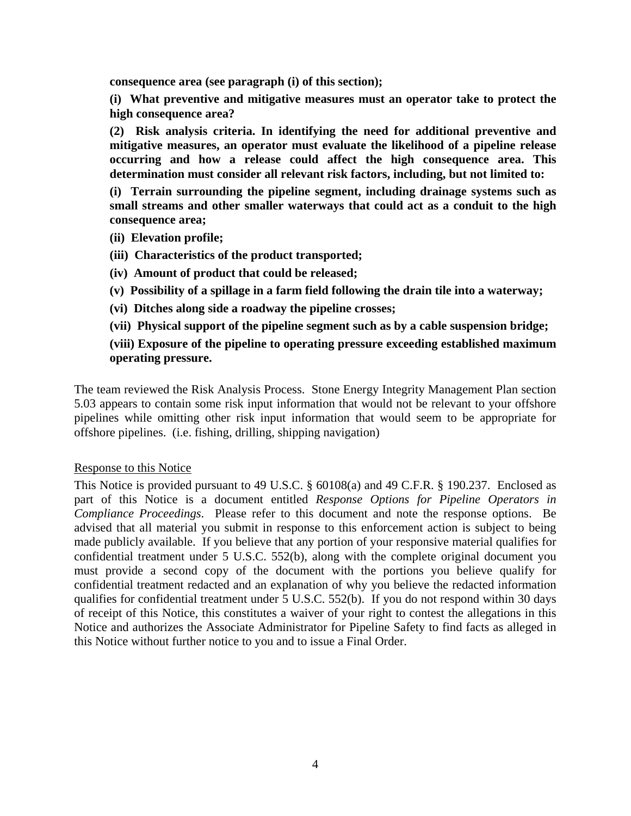**consequence area (see paragraph (i) of this section);**

**(i) What preventive and mitigative measures must an operator take to protect the high consequence area?** 

**(2) Risk analysis criteria. In identifying the need for additional preventive and mitigative measures, an operator must evaluate the likelihood of a pipeline release occurring and how a release could affect the high consequence area. This determination must consider all relevant risk factors, including, but not limited to:**

**(i) Terrain surrounding the pipeline segment, including drainage systems such as small streams and other smaller waterways that could act as a conduit to the high consequence area;**

- **(ii) Elevation profile;**
- **(iii) Characteristics of the product transported;**
- **(iv) Amount of product that could be released;**
- **(v) Possibility of a spillage in a farm field following the drain tile into a waterway;**
- **(vi) Ditches along side a roadway the pipeline crosses;**
- **(vii) Physical support of the pipeline segment such as by a cable suspension bridge;**

**(viii) Exposure of the pipeline to operating pressure exceeding established maximum operating pressure.**

The team reviewed the Risk Analysis Process. Stone Energy Integrity Management Plan section 5.03 appears to contain some risk input information that would not be relevant to your offshore pipelines while omitting other risk input information that would seem to be appropriate for offshore pipelines. (i.e. fishing, drilling, shipping navigation)

#### Response to this Notice

This Notice is provided pursuant to 49 U.S.C. § 60108(a) and 49 C.F.R. § 190.237. Enclosed as part of this Notice is a document entitled *Response Options for Pipeline Operators in Compliance Proceedings*. Please refer to this document and note the response options. Be advised that all material you submit in response to this enforcement action is subject to being made publicly available. If you believe that any portion of your responsive material qualifies for confidential treatment under 5 U.S.C. 552(b), along with the complete original document you must provide a second copy of the document with the portions you believe qualify for confidential treatment redacted and an explanation of why you believe the redacted information qualifies for confidential treatment under 5 U.S.C. 552(b). If you do not respond within 30 days of receipt of this Notice, this constitutes a waiver of your right to contest the allegations in this Notice and authorizes the Associate Administrator for Pipeline Safety to find facts as alleged in this Notice without further notice to you and to issue a Final Order.